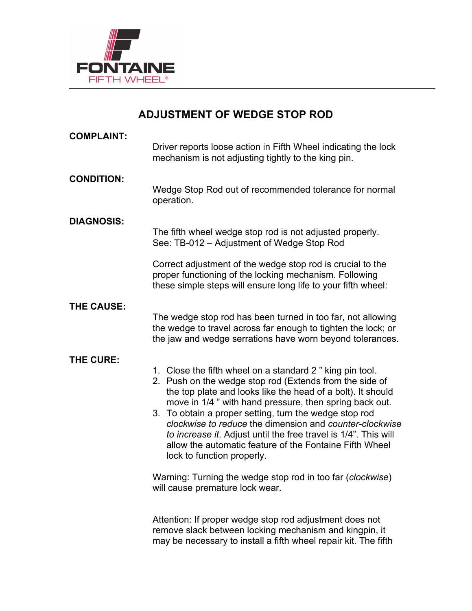

# **ADJUSTMENT OF WEDGE STOP ROD**

| <b>COMPLAINT:</b> | Driver reports loose action in Fifth Wheel indicating the lock<br>mechanism is not adjusting tightly to the king pin.                                                                                                                                                                                                                                                                                                                                                                                                                                                                                                                                                                                                                                                                                                  |
|-------------------|------------------------------------------------------------------------------------------------------------------------------------------------------------------------------------------------------------------------------------------------------------------------------------------------------------------------------------------------------------------------------------------------------------------------------------------------------------------------------------------------------------------------------------------------------------------------------------------------------------------------------------------------------------------------------------------------------------------------------------------------------------------------------------------------------------------------|
| <b>CONDITION:</b> | Wedge Stop Rod out of recommended tolerance for normal<br>operation.                                                                                                                                                                                                                                                                                                                                                                                                                                                                                                                                                                                                                                                                                                                                                   |
| <b>DIAGNOSIS:</b> | The fifth wheel wedge stop rod is not adjusted properly.<br>See: TB-012 - Adjustment of Wedge Stop Rod                                                                                                                                                                                                                                                                                                                                                                                                                                                                                                                                                                                                                                                                                                                 |
|                   | Correct adjustment of the wedge stop rod is crucial to the<br>proper functioning of the locking mechanism. Following<br>these simple steps will ensure long life to your fifth wheel:                                                                                                                                                                                                                                                                                                                                                                                                                                                                                                                                                                                                                                  |
| THE CAUSE:        | The wedge stop rod has been turned in too far, not allowing<br>the wedge to travel across far enough to tighten the lock; or<br>the jaw and wedge serrations have worn beyond tolerances.                                                                                                                                                                                                                                                                                                                                                                                                                                                                                                                                                                                                                              |
| THE CURE:         | 1. Close the fifth wheel on a standard 2" king pin tool.<br>2. Push on the wedge stop rod (Extends from the side of<br>the top plate and looks like the head of a bolt). It should<br>move in 1/4" with hand pressure, then spring back out.<br>3. To obtain a proper setting, turn the wedge stop rod<br>clockwise to reduce the dimension and counter-clockwise<br>to increase it. Adjust until the free travel is 1/4". This will<br>allow the automatic feature of the Fontaine Fifth Wheel<br>lock to function properly.<br>Warning: Turning the wedge stop rod in too far (clockwise)<br>will cause premature lock wear.<br>Attention: If proper wedge stop rod adjustment does not<br>remove slack between locking mechanism and kingpin, it<br>may be necessary to install a fifth wheel repair kit. The fifth |